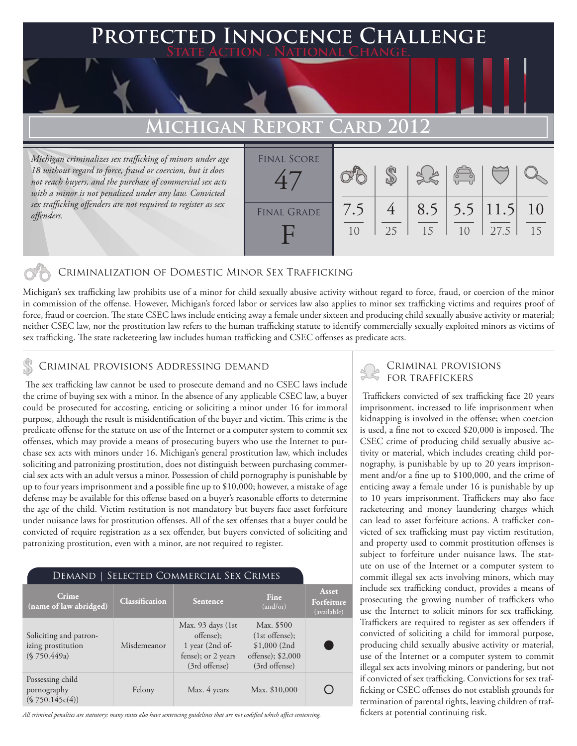### **FED INNOCENCE CHALLENGE State Action . National Change.**

## **Michigan Report Card 2012**

*Michigan criminalizes sex trafficking of minors under age 18 without regard to force, fraud or coercion, but it does not reach buyers, and the purchase of commercial sex acts with a minor is not penalized under any law. Convicted sex trafficking offenders are not required to register as sex offenders.*

| <b>FINAL SCORE</b> |           |    |    | $\begin{pmatrix} 0 & 0 \\ 0 & 0 \end{pmatrix}$ |                             |           |
|--------------------|-----------|----|----|------------------------------------------------|-----------------------------|-----------|
| <b>FINAL GRADE</b> | 7.5<br>10 | 25 | 15 | 10                                             | $8.5$   5.5   11.5 <br>27.5 | -10<br>15 |

### Criminalization of Domestic Minor Sex Trafficking

Michigan's sex trafficking law prohibits use of a minor for child sexually abusive activity without regard to force, fraud, or coercion of the minor in commission of the offense. However, Michigan's forced labor or services law also applies to minor sex trafficking victims and requires proof of force, fraud or coercion. The state CSEC laws include enticing away a female under sixteen and producing child sexually abusive activity or material; neither CSEC law, nor the prostitution law refers to the human trafficking statute to identify commercially sexually exploited minors as victims of sex trafficking. The state racketeering law includes human trafficking and CSEC offenses as predicate acts.

### Criminal provisions Addressing demand

 The sex trafficking law cannot be used to prosecute demand and no CSEC laws include the crime of buying sex with a minor. In the absence of any applicable CSEC law, a buyer could be prosecuted for accosting, enticing or soliciting a minor under 16 for immoral purpose, although the result is misidentification of the buyer and victim. This crime is the predicate offense for the statute on use of the Internet or a computer system to commit sex offenses, which may provide a means of prosecuting buyers who use the Internet to purchase sex acts with minors under 16. Michigan's general prostitution law, which includes soliciting and patronizing prostitution, does not distinguish between purchasing commercial sex acts with an adult versus a minor. Possession of child pornography is punishable by up to four years imprisonment and a possible fine up to \$10,000; however, a mistake of age defense may be available for this offense based on a buyer's reasonable efforts to determine the age of the child. Victim restitution is not mandatory but buyers face asset forfeiture under nuisance laws for prostitution offenses. All of the sex offenses that a buyer could be convicted of require registration as a sex offender, but buyers convicted of soliciting and patronizing prostitution, even with a minor, are not required to register.

| DEMAND   SELECTED COMMERCIAL SEX CRIMES                      |                       |                                                                                           |                                                                                      |                                    |  |  |  |  |
|--------------------------------------------------------------|-----------------------|-------------------------------------------------------------------------------------------|--------------------------------------------------------------------------------------|------------------------------------|--|--|--|--|
| Crime<br>(name of law abridged)                              | <b>Classification</b> | <b>Sentence</b>                                                                           | Fine<br>(and/or)                                                                     | Asset<br>Forfeiture<br>(available) |  |  |  |  |
| Soliciting and patron-<br>izing prostitution<br>(S 750.449a) | Misdemeanor           | Max. 93 days (1st)<br>offense);<br>1 year (2nd of-<br>fense); or 2 years<br>(3rd offense) | Max. \$500<br>$(1st$ offense);<br>\$1,000(2nd)<br>offense); \$2,000<br>(3rd offense) |                                    |  |  |  |  |
| Possessing child<br>pornography<br>(S 750.145c(4))           | Felony                | Max. 4 years                                                                              | Max. \$10,000                                                                        |                                    |  |  |  |  |

*All criminal penalties are statutory; many states also have sentencing guidelines that are not codified which affect sentencing.* 

# Criminal provisions

 Traffickers convicted of sex trafficking face 20 years imprisonment, increased to life imprisonment when kidnapping is involved in the offense; when coercion is used, a fine not to exceed \$20,000 is imposed. The CSEC crime of producing child sexually abusive activity or material, which includes creating child pornography, is punishable by up to 20 years imprisonment and/or a fine up to \$100,000, and the crime of enticing away a female under 16 is punishable by up to 10 years imprisonment. Traffickers may also face racketeering and money laundering charges which can lead to asset forfeiture actions. A trafficker convicted of sex trafficking must pay victim restitution, and property used to commit prostitution offenses is subject to forfeiture under nuisance laws. The statute on use of the Internet or a computer system to commit illegal sex acts involving minors, which may include sex trafficking conduct, provides a means of prosecuting the growing number of traffickers who use the Internet to solicit minors for sex trafficking. Traffickers are required to register as sex offenders if convicted of soliciting a child for immoral purpose, producing child sexually abusive activity or material, use of the Internet or a computer system to commit illegal sex acts involving minors or pandering, but not if convicted of sex trafficking. Convictions for sex trafficking or CSEC offenses do not establish grounds for termination of parental rights, leaving children of traffickers at potential continuing risk.